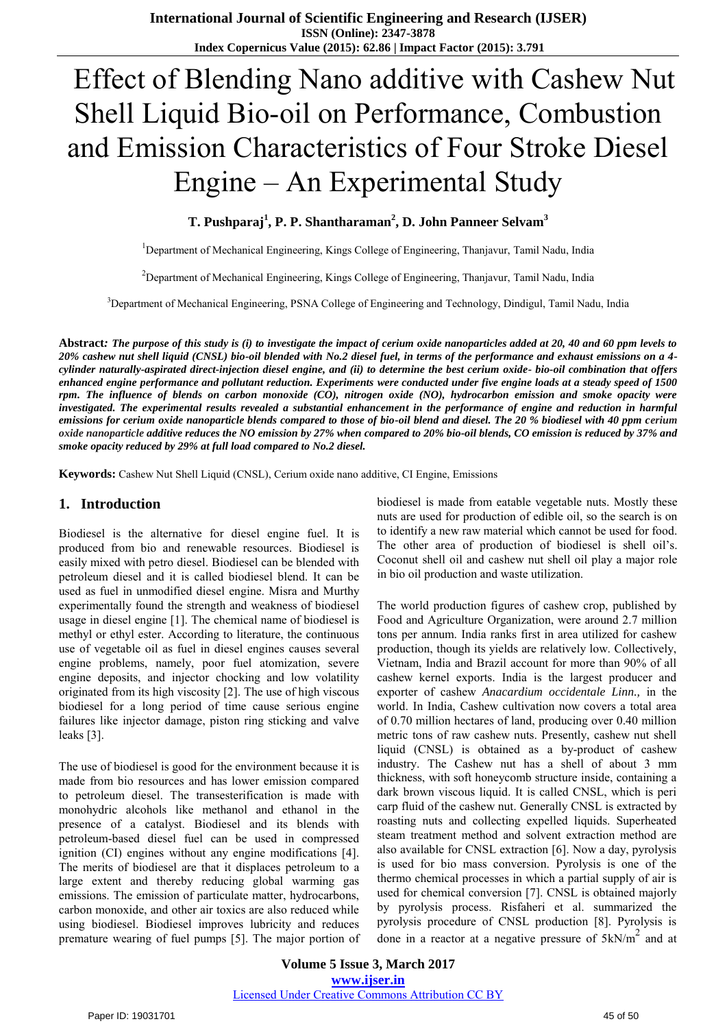# Effect of Blending Nano additive with Cashew Nut Shell Liquid Bio-oil on Performance, Combustion and Emission Characteristics of Four Stroke Diesel Engine – An Experimental Study

# **T. Pushparaj<sup>1</sup> , P. P. Shantharaman<sup>2</sup> , D. John Panneer Selvam<sup>3</sup>**

<sup>1</sup>Department of Mechanical Engineering, Kings College of Engineering, Thanjavur, Tamil Nadu, India

<sup>2</sup>Department of Mechanical Engineering, Kings College of Engineering, Thanjavur, Tamil Nadu, India

<sup>3</sup>Department of Mechanical Engineering, PSNA College of Engineering and Technology, Dindigul, Tamil Nadu, India

**Abstract***: The purpose of this study is (i) to investigate the impact of cerium oxide nanoparticles added at 20, 40 and 60 ppm levels to 20% cashew nut shell liquid (CNSL) bio-oil blended with No.2 diesel fuel, in terms of the performance and exhaust emissions on a 4 cylinder naturally-aspirated direct-injection diesel engine, and (ii) to determine the best cerium oxide- bio-oil combination that offers enhanced engine performance and pollutant reduction. Experiments were conducted under five engine loads at a steady speed of 1500 rpm. The influence of blends on carbon monoxide (CO), nitrogen oxide (NO), hydrocarbon emission and smoke opacity were investigated. The experimental results revealed a substantial enhancement in the performance of engine and reduction in harmful emissions for cerium oxide nanoparticle blends compared to those of bio-oil blend and diesel. The 20 % biodiesel with 40 ppm cerium oxide nanoparticle additive reduces the NO emission by 27% when compared to 20% bio-oil blends, CO emission is reduced by 37% and smoke opacity reduced by 29% at full load compared to No.2 diesel.*

**Keywords:** Cashew Nut Shell Liquid (CNSL), Cerium oxide nano additive, CI Engine, Emissions

## **1. Introduction**

Biodiesel is the alternative for diesel engine fuel. It is produced from bio and renewable resources. Biodiesel is easily mixed with petro diesel. Biodiesel can be blended with petroleum diesel and it is called biodiesel blend. It can be used as fuel in unmodified diesel engine. Misra and Murthy experimentally found the strength and weakness of biodiesel usage in diesel engine [1]. The chemical name of biodiesel is methyl or ethyl ester. According to literature, the continuous use of vegetable oil as fuel in diesel engines causes several engine problems, namely, poor fuel atomization, severe engine deposits, and injector chocking and low volatility originated from its high viscosity [2]. The use of high viscous biodiesel for a long period of time cause serious engine failures like injector damage, piston ring sticking and valve leaks [3].

The use of biodiesel is good for the environment because it is made from bio resources and has lower emission compared to petroleum diesel. The transesterification is made with monohydric alcohols like methanol and ethanol in the presence of a catalyst. Biodiesel and its blends with petroleum-based diesel fuel can be used in compressed ignition (CI) engines without any engine modifications [4]. The merits of biodiesel are that it displaces petroleum to a large extent and thereby reducing global warming gas emissions. The emission of particulate matter, hydrocarbons, carbon monoxide, and other air toxics are also reduced while using biodiesel. Biodiesel improves lubricity and reduces premature wearing of fuel pumps [5]. The major portion of biodiesel is made from eatable vegetable nuts. Mostly these nuts are used for production of edible oil, so the search is on to identify a new raw material which cannot be used for food. The other area of production of biodiesel is shell oil's. Coconut shell oil and cashew nut shell oil play a major role in bio oil production and waste utilization.

The world production figures of cashew crop, published by Food and Agriculture Organization, were around 2.7 million tons per annum. India ranks first in area utilized for cashew production, though its yields are relatively low. Collectively, Vietnam, India and Brazil account for more than 90% of all cashew kernel exports. India is the largest producer and exporter of cashew *Anacardium occidentale Linn.,* in the world. In India, Cashew cultivation now covers a total area of 0.70 million hectares of land, producing over 0.40 million metric tons of raw cashew nuts. Presently, cashew nut shell liquid (CNSL) is obtained as a by-product of cashew industry. The Cashew nut has a shell of about 3 mm thickness, with soft honeycomb structure inside, containing a dark brown viscous liquid. It is called CNSL, which is peri carp fluid of the cashew nut. Generally CNSL is extracted by roasting nuts and collecting expelled liquids. Superheated steam treatment method and solvent extraction method are also available for CNSL extraction [6]. Now a day, pyrolysis is used for bio mass conversion. Pyrolysis is one of the thermo chemical processes in which a partial supply of air is used for chemical conversion [7]. CNSL is obtained majorly by pyrolysis process. Risfaheri et al. summarized the pyrolysis procedure of CNSL production [8]. Pyrolysis is done in a reactor at a negative pressure of  $5kN/m^2$  and at

**Volume 5 Issue 3, March 2017 www.ijser.in** Licensed Under Creative Commons Attribution CC BY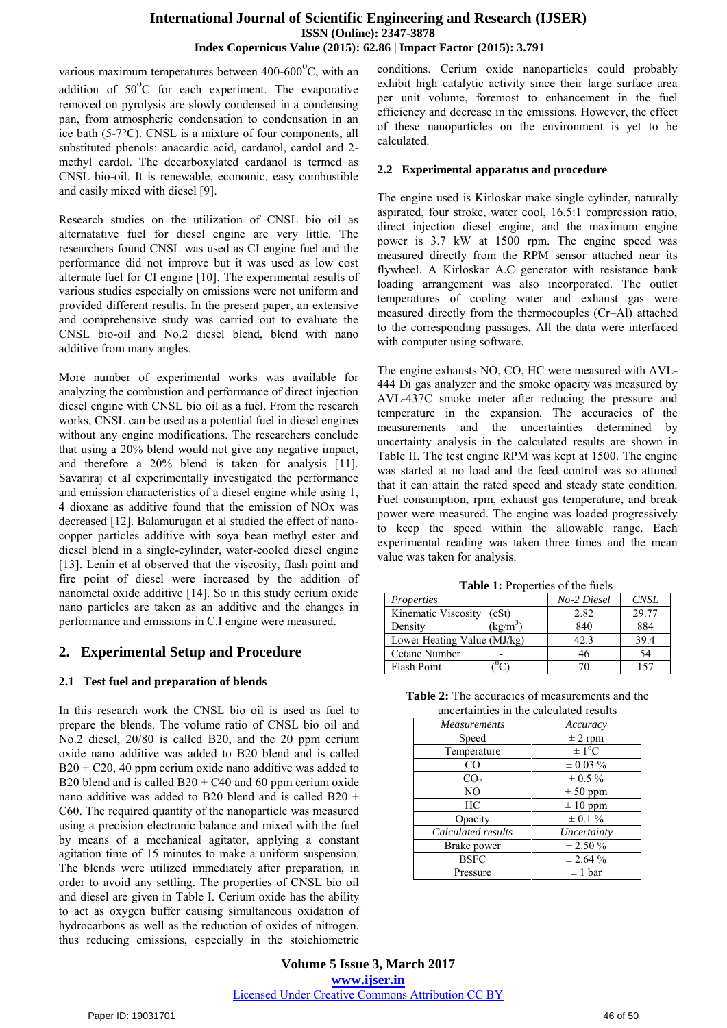various maximum temperatures between  $400-600^{\circ}$ C, with an addition of  $50^{\circ}$ C for each experiment. The evaporative removed on pyrolysis are slowly condensed in a condensing pan, from atmospheric condensation to condensation in an ice bath (5-7°C). CNSL is a mixture of four components, all substituted phenols: anacardic acid, cardanol, cardol and 2 methyl cardol. The decarboxylated cardanol is termed as CNSL bio-oil. It is renewable, economic, easy combustible and easily mixed with diesel [9].

Research studies on the utilization of CNSL bio oil as alternatative fuel for diesel engine are very little. The researchers found CNSL was used as CI engine fuel and the performance did not improve but it was used as low cost alternate fuel for CI engine [10]. The experimental results of various studies especially on emissions were not uniform and provided different results. In the present paper, an extensive and comprehensive study was carried out to evaluate the CNSL bio-oil and No.2 diesel blend, blend with nano additive from many angles.

More number of experimental works was available for analyzing the combustion and performance of direct injection diesel engine with CNSL bio oil as a fuel. From the research works, CNSL can be used as a potential fuel in diesel engines without any engine modifications. The researchers conclude that using a 20% blend would not give any negative impact, and therefore a 20% blend is taken for analysis [11]. Savariraj et al experimentally investigated the performance and emission characteristics of a diesel engine while using 1, 4 dioxane as additive found that the emission of NOx was decreased [12]. Balamurugan et al studied the effect of nanocopper particles additive with soya bean methyl ester and diesel blend in a single-cylinder, water-cooled diesel engine [13]. Lenin et al observed that the viscosity, flash point and fire point of diesel were increased by the addition of nanometal oxide additive [14]. So in this study cerium oxide nano particles are taken as an additive and the changes in performance and emissions in C.I engine were measured.

# **2. Experimental Setup and Procedure**

# **2.1 Test fuel and preparation of blends**

In this research work the CNSL bio oil is used as fuel to prepare the blends. The volume ratio of CNSL bio oil and No.2 diesel, 20/80 is called B20, and the 20 ppm cerium oxide nano additive was added to B20 blend and is called  $B20 + C20$ , 40 ppm cerium oxide nano additive was added to B20 blend and is called  $B20 + C40$  and 60 ppm cerium oxide nano additive was added to B20 blend and is called B20 + C60. The required quantity of the nanoparticle was measured using a precision electronic balance and mixed with the fuel by means of a mechanical agitator, applying a constant agitation time of 15 minutes to make a uniform suspension. The blends were utilized immediately after preparation, in order to avoid any settling. The properties of CNSL bio oil and diesel are given in Table I. Cerium oxide has the ability to act as oxygen buffer causing simultaneous oxidation of hydrocarbons as well as the reduction of oxides of nitrogen, thus reducing emissions, especially in the stoichiometric

conditions. Cerium oxide nanoparticles could probably exhibit high catalytic activity since their large surface area per unit volume, foremost to enhancement in the fuel efficiency and decrease in the emissions. However, the effect of these nanoparticles on the environment is yet to be calculated.

## **2.2 Experimental apparatus and procedure**

The engine used is Kirloskar make single cylinder, naturally aspirated, four stroke, water cool, 16.5:1 compression ratio, direct injection diesel engine, and the maximum engine power is 3.7 kW at 1500 rpm. The engine speed was measured directly from the RPM sensor attached near its flywheel. A Kirloskar A.C generator with resistance bank loading arrangement was also incorporated. The outlet temperatures of cooling water and exhaust gas were measured directly from the thermocouples (Cr–Al) attached to the corresponding passages. All the data were interfaced with computer using software.

The engine exhausts NO, CO, HC were measured with AVL-444 Di gas analyzer and the smoke opacity was measured by AVL-437C smoke meter after reducing the pressure and temperature in the expansion. The accuracies of the measurements and the uncertainties determined by uncertainty analysis in the calculated results are shown in Table II. The test engine RPM was kept at 1500. The engine was started at no load and the feed control was so attuned that it can attain the rated speed and steady state condition. Fuel consumption, rpm, exhaust gas temperature, and break power were measured. The engine was loaded progressively to keep the speed within the allowable range. Each experimental reading was taken three times and the mean value was taken for analysis.

**Table 1:** Properties of the fuels

| Properties                   | No-2 Diesel | <b>CNSL</b> |
|------------------------------|-------------|-------------|
| Kinematic Viscosity<br>(cSt) | 2.82        | 29.77       |
| $(\text{kg/m}^3)$<br>Density | 840         | 884         |
| Lower Heating Value (MJ/kg)  | 42.3        | 39.4        |
| Cetane Number                | 46          | 54          |
| Flash Point                  |             |             |

| <b>Table 2:</b> The accuracies of measurements and the |
|--------------------------------------------------------|
| uncertainties in the calculated results                |

| uncertammes in the calculated results |                        |  |
|---------------------------------------|------------------------|--|
| <b>Measurements</b>                   | Accuracy               |  |
| Speed                                 | $\pm$ 2 rpm            |  |
| Temperature                           | $\pm 1$ <sup>o</sup> C |  |
| CO                                    | $\pm 0.03 \%$          |  |
| CO <sub>2</sub>                       | $\pm 0.5 \%$           |  |
| NO                                    | $\pm 50$ ppm           |  |
| HC                                    | $\pm 10$ ppm           |  |
| Opacity                               | $\pm$ 0.1 %            |  |
| Calculated results                    | Uncertainty            |  |
| Brake power                           | $\pm 2.50 \%$          |  |
| <b>BSFC</b>                           | $\pm 2.64 \%$          |  |
| Pressure                              | $\pm$ 1 bar            |  |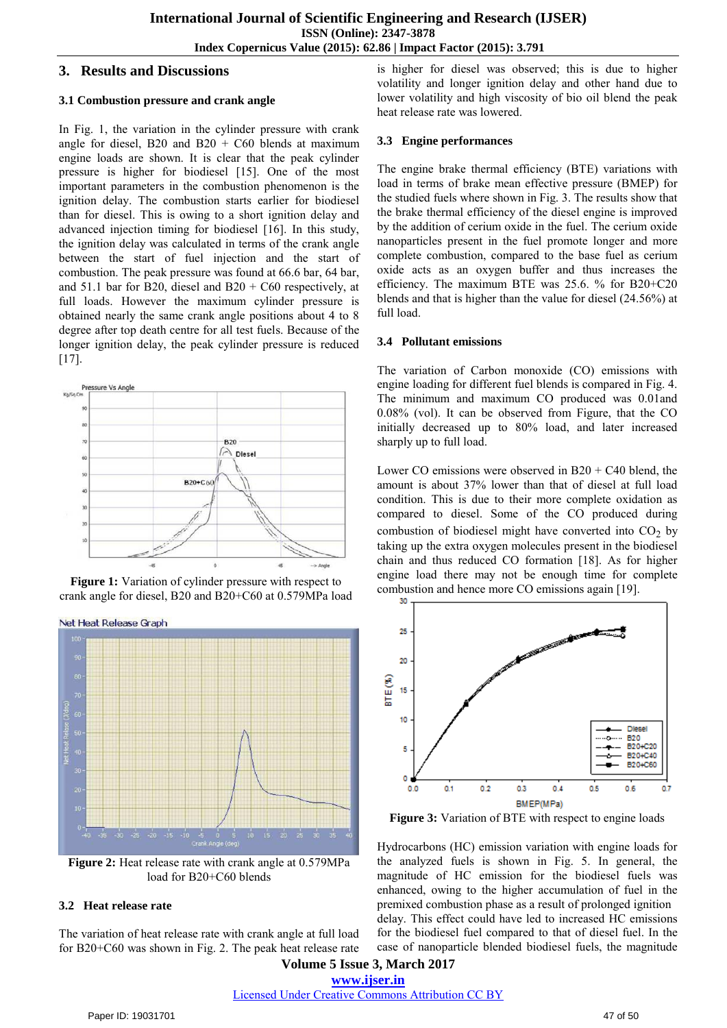# **3. Results and Discussions**

## **3.1 Combustion pressure and crank angle**

In Fig. 1, the variation in the cylinder pressure with crank angle for diesel, B20 and B20 + C60 blends at maximum engine loads are shown. It is clear that the peak cylinder pressure is higher for biodiesel [15]. One of the most important parameters in the combustion phenomenon is the ignition delay. The combustion starts earlier for biodiesel than for diesel. This is owing to a short ignition delay and advanced injection timing for biodiesel [16]. In this study, the ignition delay was calculated in terms of the crank angle between the start of fuel injection and the start of combustion. The peak pressure was found at 66.6 bar, 64 bar, and 51.1 bar for B20, diesel and B20 + C60 respectively, at full loads. However the maximum cylinder pressure is obtained nearly the same crank angle positions about 4 to 8 degree after top death centre for all test fuels. Because of the longer ignition delay, the peak cylinder pressure is reduced  $[17]$ .







**Figure 2:** Heat release rate with crank angle at 0.579MPa load for B20+C60 blends

#### **3.2 Heat release rate**

The variation of heat release rate with crank angle at full load for B20+C60 was shown in Fig. 2. The peak heat release rate is higher for diesel was observed; this is due to higher volatility and longer ignition delay and other hand due to lower volatility and high viscosity of bio oil blend the peak heat release rate was lowered.

## **3.3 Engine performances**

The engine brake thermal efficiency (BTE) variations with load in terms of brake mean effective pressure (BMEP) for the studied fuels where shown in Fig. 3. The results show that the brake thermal efficiency of the diesel engine is improved by the addition of cerium oxide in the fuel. The cerium oxide nanoparticles present in the fuel promote longer and more complete combustion, compared to the base fuel as cerium oxide acts as an oxygen buffer and thus increases the efficiency. The maximum BTE was 25.6. % for B20+C20 blends and that is higher than the value for diesel (24.56%) at full load.

## **3.4 Pollutant emissions**

The variation of Carbon monoxide (CO) emissions with engine loading for different fuel blends is compared in Fig. 4. The minimum and maximum CO produced was 0.01and 0.08% (vol). It can be observed from Figure, that the CO initially decreased up to 80% load, and later increased sharply up to full load.

Lower CO emissions were observed in  $B20 + C40$  blend, the amount is about 37% lower than that of diesel at full load condition. This is due to their more complete oxidation as compared to diesel. Some of the CO produced during combustion of biodiesel might have converted into  $CO<sub>2</sub>$  by taking up the extra oxygen molecules present in the biodiesel chain and thus reduced CO formation [18]. As for higher engine load there may not be enough time for complete combustion and hence more CO emissions again [19].



**Figure 3:** Variation of BTE with respect to engine loads

Hydrocarbons (HC) emission variation with engine loads for the analyzed fuels is shown in Fig. 5. In general, the magnitude of HC emission for the biodiesel fuels was enhanced, owing to the higher accumulation of fuel in the premixed combustion phase as a result of prolonged ignition delay. This effect could have led to increased HC emissions for the biodiesel fuel compared to that of diesel fuel. In the case of nanoparticle blended biodiesel fuels, the magnitude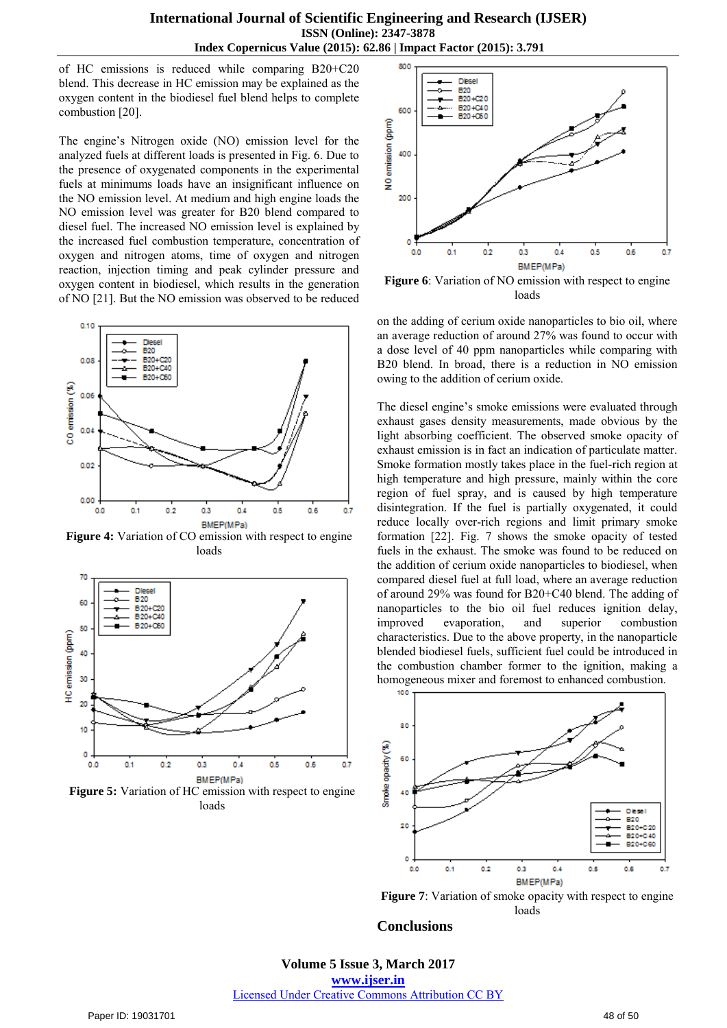of HC emissions is reduced while comparing B20+C20 blend. This decrease in HC emission may be explained as the oxygen content in the biodiesel fuel blend helps to complete combustion [20].

The engine's Nitrogen oxide (NO) emission level for the analyzed fuels at different loads is presented in Fig. 6. Due to the presence of oxygenated components in the experimental fuels at minimums loads have an insignificant influence on the NO emission level. At medium and high engine loads the NO emission level was greater for B20 blend compared to diesel fuel. The increased NO emission level is explained by the increased fuel combustion temperature, concentration of oxygen and nitrogen atoms, time of oxygen and nitrogen reaction, injection timing and peak cylinder pressure and oxygen content in biodiesel, which results in the generation of NO [21]. But the NO emission was observed to be reduced



**Figure 4:** Variation of CO emission with respect to engine loads



**Figure 5:** Variation of HC emission with respect to engine loads



**Figure 6**: Variation of NO emission with respect to engine loads

on the adding of cerium oxide nanoparticles to bio oil, where an average reduction of around 27% was found to occur with a dose level of 40 ppm nanoparticles while comparing with B20 blend. In broad, there is a reduction in NO emission owing to the addition of cerium oxide.

The diesel engine's smoke emissions were evaluated through exhaust gases density measurements, made obvious by the light absorbing coefficient. The observed smoke opacity of exhaust emission is in fact an indication of particulate matter. Smoke formation mostly takes place in the fuel-rich region at high temperature and high pressure, mainly within the core region of fuel spray, and is caused by high temperature disintegration. If the fuel is partially oxygenated, it could reduce locally over-rich regions and limit primary smoke formation [22]. Fig. 7 shows the smoke opacity of tested fuels in the exhaust. The smoke was found to be reduced on the addition of cerium oxide nanoparticles to biodiesel, when compared diesel fuel at full load, where an average reduction of around 29% was found for B20+C40 blend. The adding of nanoparticles to the bio oil fuel reduces ignition delay, improved evaporation, and superior combustion characteristics. Due to the above property, in the nanoparticle blended biodiesel fuels, sufficient fuel could be introduced in the combustion chamber former to the ignition, making a homogeneous mixer and foremost to enhanced combustion.



**Figure 7**: Variation of smoke opacity with respect to engine loads

#### **Conclusions**

**Volume 5 Issue 3, March 2017 www.ijser.in** Licensed Under Creative Commons Attribution CC BY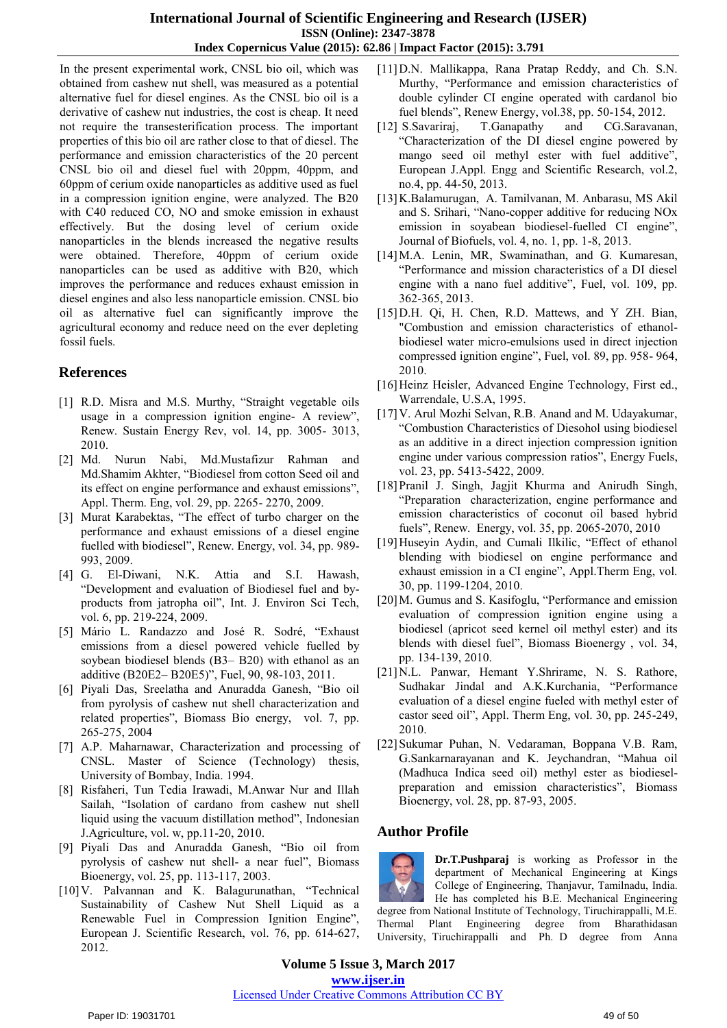## **International Journal of Scientific Engineering and Research (IJSER) ISSN (Online): 2347-3878 Index Copernicus Value (2015): 62.86 | Impact Factor (2015): 3.791**

In the present experimental work, CNSL bio oil, which was obtained from cashew nut shell, was measured as a potential alternative fuel for diesel engines. As the CNSL bio oil is a derivative of cashew nut industries, the cost is cheap. It need not require the transesterification process. The important properties of this bio oil are rather close to that of diesel. The performance and emission characteristics of the 20 percent CNSL bio oil and diesel fuel with 20ppm, 40ppm, and 60ppm of cerium oxide nanoparticles as additive used as fuel in a compression ignition engine, were analyzed. The B20 with C40 reduced CO, NO and smoke emission in exhaust effectively. But the dosing level of cerium oxide nanoparticles in the blends increased the negative results were obtained. Therefore, 40ppm of cerium oxide nanoparticles can be used as additive with B20, which improves the performance and reduces exhaust emission in diesel engines and also less nanoparticle emission. CNSL bio oil as alternative fuel can significantly improve the agricultural economy and reduce need on the ever depleting fossil fuels.

# **References**

- [1] R.D. Misra and M.S. Murthy, "Straight vegetable oils usage in a compression ignition engine- A review", Renew. Sustain Energy Rev, vol. 14, pp. 3005- 3013, 2010.
- [2] Md. Nurun Nabi, Md.Mustafizur Rahman and Md.Shamim Akhter, "Biodiesel from cotton Seed oil and its effect on engine performance and exhaust emissions", Appl. Therm. Eng, vol. 29, pp. 2265- 2270, 2009.
- [3] Murat Karabektas, "The effect of turbo charger on the performance and exhaust emissions of a diesel engine fuelled with biodiesel", Renew. Energy, vol. 34, pp. 989- 993, 2009.
- [4] G. El-Diwani, N.K. Attia and S.I. Hawash, "Development and evaluation of Biodiesel fuel and byproducts from jatropha oil", Int. J. Environ Sci Tech, vol. 6, pp. 219-224, 2009.
- [5] Mário L. Randazzo and José R. Sodré, "Exhaust emissions from a diesel powered vehicle fuelled by soybean biodiesel blends (B3– B20) with ethanol as an additive (B20E2– B20E5)", Fuel, 90, 98-103, 2011.
- [6] Piyali Das, Sreelatha and Anuradda Ganesh, "Bio oil from pyrolysis of cashew nut shell characterization and related properties", Biomass Bio energy, vol. 7, pp. 265-275, 2004
- [7] A.P. Maharnawar, Characterization and processing of CNSL. Master of Science (Technology) thesis, University of Bombay, India. 1994.
- [8] Risfaheri, Tun Tedia Irawadi, M.Anwar Nur and Illah Sailah, "Isolation of cardano from cashew nut shell liquid using the vacuum distillation method", Indonesian J.Agriculture, vol. w, pp.11-20, 2010.
- [9] Piyali Das and Anuradda Ganesh, "Bio oil from pyrolysis of cashew nut shell- a near fuel", Biomass Bioenergy, vol. 25, pp. 113-117, 2003.
- [10]V. Palvannan and K. Balagurunathan, "Technical Sustainability of Cashew Nut Shell Liquid as a Renewable Fuel in Compression Ignition Engine", European J. Scientific Research, vol. 76, pp. 614-627, 2012.
- [11]D.N. Mallikappa, Rana Pratap Reddy, and Ch. S.N. Murthy, "Performance and emission characteristics of double cylinder CI engine operated with cardanol bio fuel blends", Renew Energy, vol.38, pp. 50-154, 2012.
- [12] S.Savariraj, T.Ganapathy and CG.Saravanan, "Characterization of the DI diesel engine powered by mango seed oil methyl ester with fuel additive", European J.Appl. Engg and Scientific Research, vol.2, no.4, pp. 44-50, 2013.
- [13]K.Balamurugan, A. Tamilvanan, M. Anbarasu, MS Akil and S. Srihari, "Nano-copper additive for reducing NOx emission in soyabean biodiesel-fuelled CI engine", Journal of Biofuels, vol. 4, no. 1, pp. 1-8, 2013.
- [14]M.A. Lenin, MR, Swaminathan, and G. Kumaresan, "Performance and mission characteristics of a DI diesel engine with a nano fuel additive", Fuel, vol. 109, pp. 362-365, 2013.
- [15]D.H. Qi, H. Chen, R.D. Mattews, and Y ZH. Bian, "Combustion and emission characteristics of ethanolbiodiesel water micro-emulsions used in direct injection compressed ignition engine", Fuel, vol. 89, pp. 958- 964, 2010.
- [16] Heinz Heisler, Advanced Engine Technology, First ed., Warrendale, U.S.A, 1995.
- [17]V. Arul Mozhi Selvan, R.B. Anand and M. Udayakumar, "Combustion Characteristics of Diesohol using biodiesel as an additive in a direct injection compression ignition engine under various compression ratios", Energy Fuels, vol. 23, pp. 5413-5422, 2009.
- [18]Pranil J. Singh, Jagjit Khurma and Anirudh Singh, "Preparation characterization, engine performance and emission characteristics of coconut oil based hybrid fuels", Renew. Energy, vol. 35, pp. 2065-2070, 2010
- [19] Huseyin Aydin, and Cumali Ilkilic, "Effect of ethanol blending with biodiesel on engine performance and exhaust emission in a CI engine", Appl.Therm Eng, vol. 30, pp. 1199-1204, 2010.
- [20]M. Gumus and S. Kasifoglu, "Performance and emission evaluation of compression ignition engine using a biodiesel (apricot seed kernel oil methyl ester) and its blends with diesel fuel", Biomass Bioenergy , vol. 34, pp. 134-139, 2010.
- [21]N.L. Panwar, Hemant Y.Shrirame, N. S. Rathore, Sudhakar Jindal and A.K.Kurchania, "Performance evaluation of a diesel engine fueled with methyl ester of castor seed oil", Appl. Therm Eng, vol. 30, pp. 245-249, 2010.
- [22]Sukumar Puhan, N. Vedaraman, Boppana V.B. Ram, G.Sankarnarayanan and K. Jeychandran, "Mahua oil (Madhuca Indica seed oil) methyl ester as biodieselpreparation and emission characteristics", Biomass Bioenergy, vol. 28, pp. 87-93, 2005.

# **Author Profile**



**Volume 5 Issue 3, March 2017 www.ijser.in** Licensed Under Creative Commons Attribution CC BY